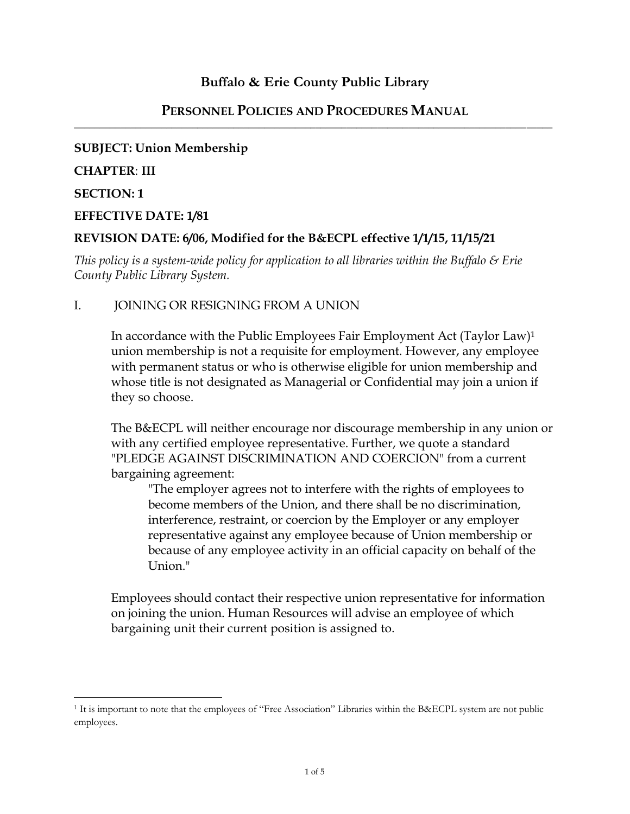# **Buffalo & Erie County Public Library**

#### **PERSONNEL POLICIES AND PROCEDURES MANUAL** \_\_\_\_\_\_\_\_\_\_\_\_\_\_\_\_\_\_\_\_\_\_\_\_\_\_\_\_\_\_\_\_\_\_\_\_\_\_\_\_\_\_\_\_\_\_\_\_\_\_\_\_\_\_\_\_\_\_\_\_\_\_\_\_\_\_\_\_\_\_\_\_\_\_\_\_\_\_\_\_\_\_\_\_\_\_\_\_\_\_\_\_\_

#### **SUBJECT: Union Membership**

#### **CHAPTER**: **III**

#### **SECTION: 1**

 $\overline{\phantom{a}}$ 

#### **EFFECTIVE DATE: 1/81**

## **REVISION DATE: 6/06, Modified for the B&ECPL effective 1/1/15, 11/15/21**

*This policy is a system-wide policy for application to all libraries within the Buffalo & Erie County Public Library System.*

### I. JOINING OR RESIGNING FROM A UNION

In accordance with the Public Employees Fair Employment Act (Taylor Law)<sup>1</sup> union membership is not a requisite for employment. However, any employee with permanent status or who is otherwise eligible for union membership and whose title is not designated as Managerial or Confidential may join a union if they so choose.

The B&ECPL will neither encourage nor discourage membership in any union or with any certified employee representative. Further, we quote a standard "PLEDGE AGAINST DISCRIMINATION AND COERCION" from a current bargaining agreement:

"The employer agrees not to interfere with the rights of employees to become members of the Union, and there shall be no discrimination, interference, restraint, or coercion by the Employer or any employer representative against any employee because of Union membership or because of any employee activity in an official capacity on behalf of the Union."

Employees should contact their respective union representative for information on joining the union. Human Resources will advise an employee of which bargaining unit their current position is assigned to.

<sup>1</sup> It is important to note that the employees of "Free Association" Libraries within the B&ECPL system are not public employees.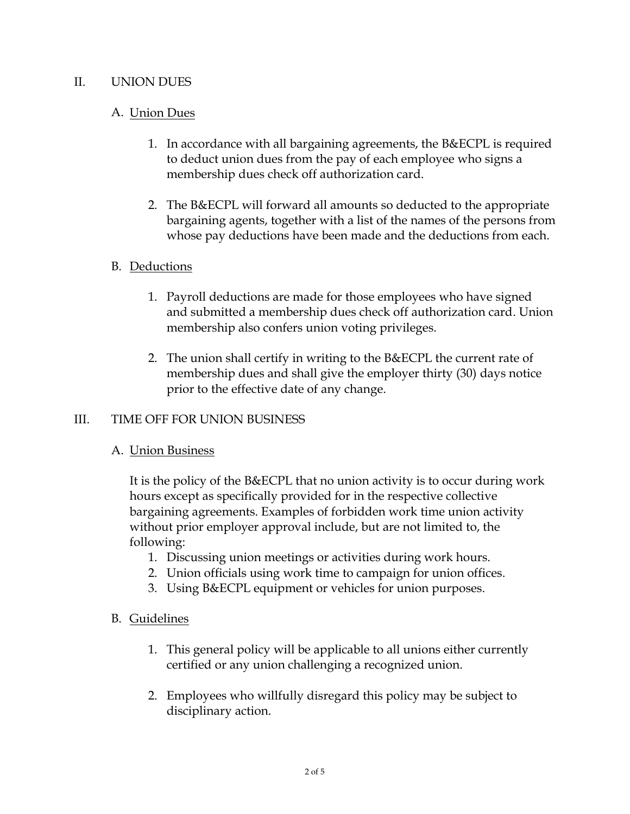## II. UNION DUES

# A. Union Dues

- 1. In accordance with all bargaining agreements, the B&ECPL is required to deduct union dues from the pay of each employee who signs a membership dues check off authorization card.
- 2. The B&ECPL will forward all amounts so deducted to the appropriate bargaining agents, together with a list of the names of the persons from whose pay deductions have been made and the deductions from each.

## B. Deductions

- 1. Payroll deductions are made for those employees who have signed and submitted a membership dues check off authorization card. Union membership also confers union voting privileges.
- 2. The union shall certify in writing to the B&ECPL the current rate of membership dues and shall give the employer thirty (30) days notice prior to the effective date of any change.

### III. TIME OFF FOR UNION BUSINESS

# A. Union Business

It is the policy of the B&ECPL that no union activity is to occur during work hours except as specifically provided for in the respective collective bargaining agreements. Examples of forbidden work time union activity without prior employer approval include, but are not limited to, the following:

- 1. Discussing union meetings or activities during work hours.
- 2. Union officials using work time to campaign for union offices.
- 3. Using B&ECPL equipment or vehicles for union purposes.

### B. Guidelines

- 1. This general policy will be applicable to all unions either currently certified or any union challenging a recognized union.
- 2. Employees who willfully disregard this policy may be subject to disciplinary action.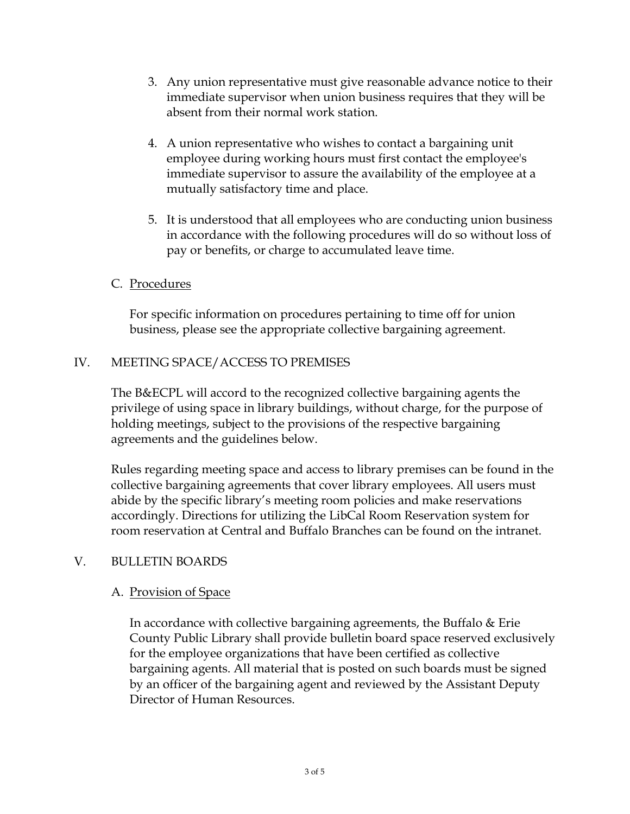- 3. Any union representative must give reasonable advance notice to their immediate supervisor when union business requires that they will be absent from their normal work station.
- 4. A union representative who wishes to contact a bargaining unit employee during working hours must first contact the employee's immediate supervisor to assure the availability of the employee at a mutually satisfactory time and place.
- 5. It is understood that all employees who are conducting union business in accordance with the following procedures will do so without loss of pay or benefits, or charge to accumulated leave time.

## C. Procedures

For specific information on procedures pertaining to time off for union business, please see the appropriate collective bargaining agreement.

# IV. MEETING SPACE/ACCESS TO PREMISES

The B&ECPL will accord to the recognized collective bargaining agents the privilege of using space in library buildings, without charge, for the purpose of holding meetings, subject to the provisions of the respective bargaining agreements and the guidelines below.

Rules regarding meeting space and access to library premises can be found in the collective bargaining agreements that cover library employees. All users must abide by the specific library's meeting room policies and make reservations accordingly. Directions for utilizing the LibCal Room Reservation system for room reservation at Central and Buffalo Branches can be found on the intranet.

### V. BULLETIN BOARDS

### A. Provision of Space

In accordance with collective bargaining agreements, the Buffalo & Erie County Public Library shall provide bulletin board space reserved exclusively for the employee organizations that have been certified as collective bargaining agents. All material that is posted on such boards must be signed by an officer of the bargaining agent and reviewed by the Assistant Deputy Director of Human Resources.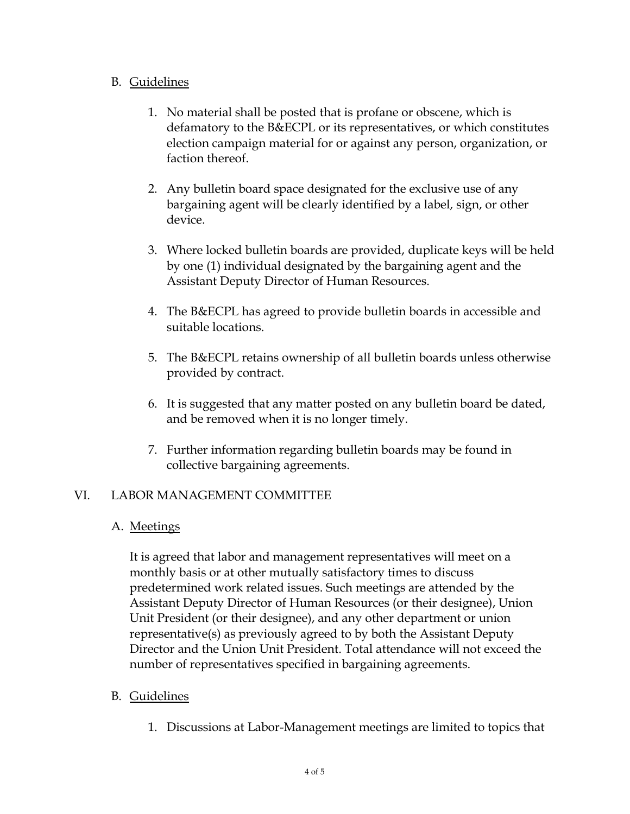# B. Guidelines

- 1. No material shall be posted that is profane or obscene, which is defamatory to the B&ECPL or its representatives, or which constitutes election campaign material for or against any person, organization, or faction thereof.
- 2. Any bulletin board space designated for the exclusive use of any bargaining agent will be clearly identified by a label, sign, or other device.
- 3. Where locked bulletin boards are provided, duplicate keys will be held by one (1) individual designated by the bargaining agent and the Assistant Deputy Director of Human Resources.
- 4. The B&ECPL has agreed to provide bulletin boards in accessible and suitable locations.
- 5. The B&ECPL retains ownership of all bulletin boards unless otherwise provided by contract.
- 6. It is suggested that any matter posted on any bulletin board be dated, and be removed when it is no longer timely.
- 7. Further information regarding bulletin boards may be found in collective bargaining agreements.

# VI. LABOR MANAGEMENT COMMITTEE

# A. Meetings

It is agreed that labor and management representatives will meet on a monthly basis or at other mutually satisfactory times to discuss predetermined work related issues. Such meetings are attended by the Assistant Deputy Director of Human Resources (or their designee), Union Unit President (or their designee), and any other department or union representative(s) as previously agreed to by both the Assistant Deputy Director and the Union Unit President. Total attendance will not exceed the number of representatives specified in bargaining agreements.

# B. Guidelines

1. Discussions at Labor-Management meetings are limited to topics that